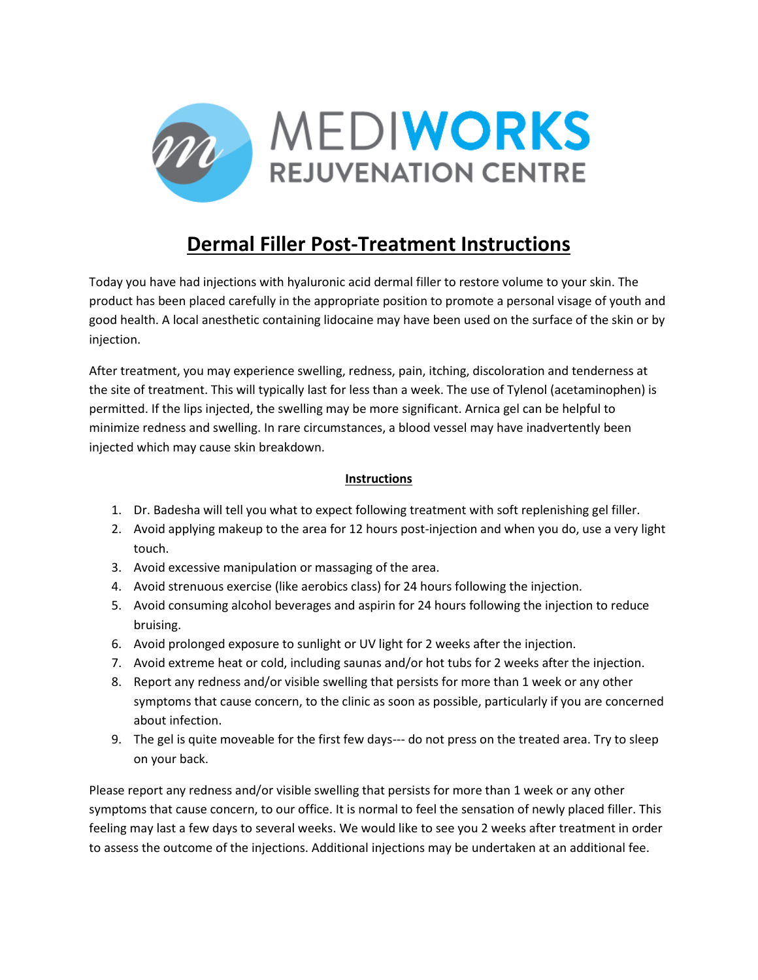

## **Dermal Filler Post-Treatment Instructions**

Today you have had injections with hyaluronic acid dermal filler to restore volume to your skin. The product has been placed carefully in the appropriate position to promote a personal visage of youth and good health. A local anesthetic containing lidocaine may have been used on the surface of the skin or by injection.

After treatment, you may experience swelling, redness, pain, itching, discoloration and tenderness at the site of treatment. This will typically last for less than a week. The use of Tylenol (acetaminophen) is permitted. If the lips injected, the swelling may be more significant. Arnica gel can be helpful to minimize redness and swelling. In rare circumstances, a blood vessel may have inadvertently been injected which may cause skin breakdown.

## **Instructions**

- 1. Dr. Badesha will tell you what to expect following treatment with soft replenishing gel filler.
- 2. Avoid applying makeup to the area for 12 hours post-injection and when you do, use a very light touch.
- 3. Avoid excessive manipulation or massaging of the area.
- 4. Avoid strenuous exercise (like aerobics class) for 24 hours following the injection.
- 5. Avoid consuming alcohol beverages and aspirin for 24 hours following the injection to reduce bruising.
- 6. Avoid prolonged exposure to sunlight or UV light for 2 weeks after the injection.
- 7. Avoid extreme heat or cold, including saunas and/or hot tubs for 2 weeks after the injection.
- 8. Report any redness and/or visible swelling that persists for more than 1 week or any other symptoms that cause concern, to the clinic as soon as possible, particularly if you are concerned about infection.
- 9. The gel is quite moveable for the first few days--- do not press on the treated area. Try to sleep on your back.

Please report any redness and/or visible swelling that persists for more than 1 week or any other symptoms that cause concern, to our office. It is normal to feel the sensation of newly placed filler. This feeling may last a few days to several weeks. We would like to see you 2 weeks after treatment in order to assess the outcome of the injections. Additional injections may be undertaken at an additional fee.